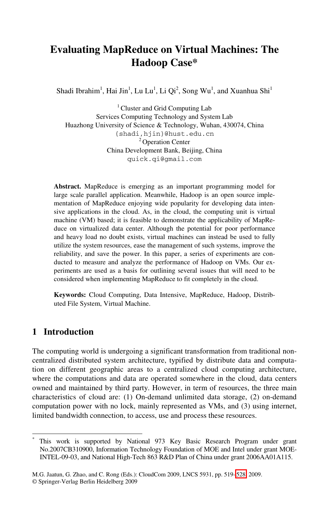# **Evaluating MapReduce on Virtual Machines: The Hadoop Case\***

Shadi Ibrahim<sup>1</sup>, Hai Jin<sup>1</sup>, Lu Lu<sup>1</sup>, Li Qi<sup>2</sup>, Song Wu<sup>1</sup>, and Xuanhua Shi<sup>1</sup>

 $<sup>1</sup>$  Cluster and Grid Computing Lab</sup> Services Computing Technology and System Lab Huazhong University of Science & Technology, Wuhan, 430074, China {shadi,hjin}@hust.edu.cn 2 Operation Center China Development Bank, Beijing, China quick.qi@gmail.com

**Abstract.** MapReduce is emerging as an important programming model for large scale parallel application. Meanwhile, Hadoop is an open source implementation of MapReduce enjoying wide popularity for developing data intensive applications in the cloud. As, in the cloud, the computing unit is virtual machine (VM) based; it is feasible to demonstrate the applicability of MapReduce on virtualized data center. Although the potential for poor performance and heavy load no doubt exists, virtual machines can instead be used to fully utilize the system resources, ease the management of such systems, improve the reliability, and save the power. In this paper, a series of experiments are conducted to measure and analyze the performance of Hadoop on VMs. Our experiments are used as a basis for outlining several issues that will need to be considered when implementing MapReduce to fit completely in the cloud.

**Keywords:** Cloud Computing, Data Intensive, MapReduce, Hadoop, Distributed File System, Virtual Machine.

### **1 Introduction**

j \*

The computing world is undergoing a significant transformation from traditional noncentralized distributed system architecture, typified by distribute data and computation on different geographic areas to a centralized cloud computing architecture, where the computations and data are operated somewhere in the cloud, data centers owned and maintained by third party. However, in term of resources, the three main characteristics of cloud are: (1) On-demand unlimited data storage, (2) on-demand computation power with no lock, mainly rep[rese](#page-9-0)nted as VMs, and (3) using internet, limited bandwidth connection, to access, use and process these resources.

This work is supported by National 973 Key Basic Research Program under grant No.2007CB310900, Information Technology Foundation of MOE and Intel under grant MOE-INTEL-09-03, and National High-Tech 863 R&D Plan of China under grant 2006AA01A115.

M.G. Jaatun, G. Zhao, and C. Rong (Eds.): CloudCom 2009, LNCS 5931, pp. 519–528, 2009. © Springer-Verlag Berlin Heidelberg 2009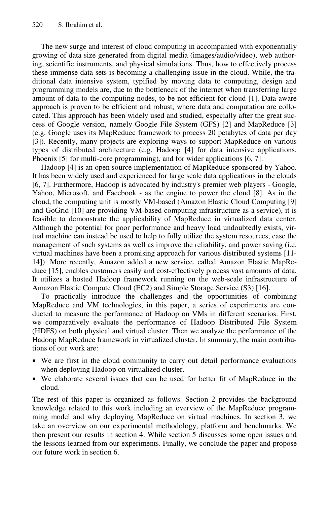The new surge and interest of cloud computing in accompanied with exponentially growing of data size generated from digital media (images/audio/video), web authoring, scientific instruments, and physical simulations. Thus, how to effectively process these immense data sets is becoming a challenging issue in the cloud. While, the traditional data intensive system, typified by moving data to computing, design and programming models are, due to the bottleneck of the internet when transferring large amount of data to the computing nodes, to be not efficient for cloud [1]. Data-aware approach is proven to be efficient and robust, where data and computation are collocated. This approach has been widely used and studied, especially after the great success of Google version, namely Google File System (GFS) [2] and MapReduce [3] (e.g. Google uses its MapReduec framework to process 20 petabytes of data per day [3]). Recently, many projects are exploring ways to support MapReduce on various types of distributed architecture (e.g. Hadoop [4] for data intensive applications, Phoenix [5] for multi-core programming), and for wider applications [6, 7].

Hadoop [4] is an open source implementation of MapReduce sponsored by Yahoo. It has been widely used and experienced for large scale data applications in the clouds [6, 7]. Furthermore, Hadoop is advocated by industry's premier web players - Google, Yahoo, Microsoft, and Facebook - as the engine to power the cloud [8]. As in the cloud, the computing unit is mostly VM-based (Amazon Elastic Cloud Computing [9] and GoGrid [10] are providing VM-based computing infrastructure as a service), it is feasible to demonstrate the applicability of MapReduce in virtualized data center. Although the potential for poor performance and heavy load undoubtedly exists, virtual machine can instead be used to help to fully utilize the system resources, ease the management of such systems as well as improve the reliability, and power saving (i.e. virtual machines have been a promising approach for various distributed systems [11- 14]). More recently, Amazon added a new service, called Amazon Elastic MapReduce [15], enables customers easily and cost-effectively process vast amounts of data. It utilizes a hosted Hadoop framework running on the web-scale infrastructure of Amazon Elastic Compute Cloud (EC2) and Simple Storage Service (S3) [16].

To practically introduce the challenges and the opportunities of combining MapReduce and VM technologies, in this paper, a series of experiments are conducted to measure the performance of Hadoop on VMs in different scenarios. First, we comparatively evaluate the performance of Hadoop Distributed File System (HDFS) on both physical and virtual cluster. Then we analyze the performance of the Hadoop MapReduce framework in virtualized cluster. In summary, the main contributions of our work are:

- We are first in the cloud community to carry out detail performance evaluations when deploying Hadoop on virtualized cluster.
- We elaborate several issues that can be used for better fit of MapReduce in the cloud.

The rest of this paper is organized as follows. Section 2 provides the background knowledge related to this work including an overview of the MapReduce programming model and why deploying MapReduce on virtual machines. In section 3, we take an overview on our experimental methodology, platform and benchmarks. We then present our results in section 4. While section 5 discusses some open issues and the lessons learned from our experiments. Finally, we conclude the paper and propose our future work in section 6.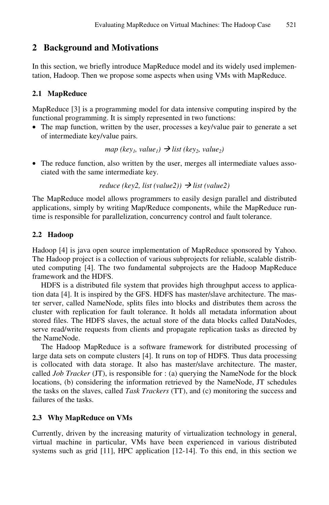### **2 Background and Motivations**

In this section, we briefly introduce MapReduce model and its widely used implementation, Hadoop. Then we propose some aspects when using VMs with MapReduce.

#### **2.1 MapReduce**

MapReduce [3] is a programming model for data intensive computing inspired by the functional programming. It is simply represented in two functions:

• The map function, written by the user, processes a key/value pair to generate a set of intermediate key/value pairs.

 $map (key<sub>1</sub>, value<sub>1</sub>) \rightarrow list (key<sub>2</sub>, value<sub>2</sub>)$ 

• The reduce function, also written by the user, merges all intermediate values associated with the same intermediate key.

```
reduce (key2, list (value2)) \rightarrow list (value2)
```
The MapReduce model allows programmers to easily design parallel and distributed applications, simply by writing Map/Reduce components, while the MapReduce runtime is responsible for parallelization, concurrency control and fault tolerance.

#### **2.2 Hadoop**

Hadoop [4] is java open source implementation of MapReduce sponsored by Yahoo. The Hadoop project is a collection of various subprojects for reliable, scalable distributed computing [4]. The two fundamental subprojects are the Hadoop MapReduce framework and the HDFS.

HDFS is a distributed file system that provides high throughput access to application data [4]. It is inspired by the GFS. HDFS has master/slave architecture. The master server, called NameNode, splits files into blocks and distributes them across the cluster with replication for fault tolerance. It holds all metadata information about stored files. The HDFS slaves, the actual store of the data blocks called DataNodes, serve read/write requests from clients and propagate replication tasks as directed by the NameNode.

The Hadoop MapReduce is a software framework for distributed processing of large data sets on compute clusters [4]. It runs on top of HDFS. Thus data processing is collocated with data storage. It also has master/slave architecture. The master, called *Job Tracker* (JT), is responsible for : (a) querying the NameNode for the block locations, (b) considering the information retrieved by the NameNode, JT schedules the tasks on the slaves, called *Task Trackers* (TT), and (c) monitoring the success and failures of the tasks.

#### **2.3 Why MapReduce on VMs**

Currently, driven by the increasing maturity of virtualization technology in general, virtual machine in particular, VMs have been experienced in various distributed systems such as grid [11], HPC application [12-14]. To this end, in this section we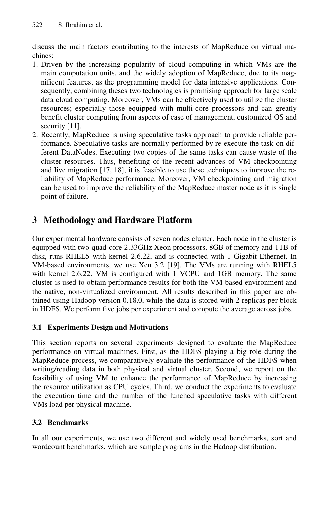discuss the main factors contributing to the interests of MapReduce on virtual machines:

- 1. Driven by the increasing popularity of cloud computing in which VMs are the main computation units, and the widely adoption of MapReduce, due to its magnificent features, as the programming model for data intensive applications. Consequently, combining theses two technologies is promising approach for large scale data cloud computing. Moreover, VMs can be effectively used to utilize the cluster resources; especially those equipped with multi-core processors and can greatly benefit cluster computing from aspects of ease of management, customized OS and security [11].
- 2. Recently, MapReduce is using speculative tasks approach to provide reliable performance. Speculative tasks are normally performed by re-execute the task on different DataNodes. Executing two copies of the same tasks can cause waste of the cluster resources. Thus, benefiting of the recent advances of VM checkpointing and live migration [17, 18], it is feasible to use these techniques to improve the reliability of MapReduce performance. Moreover, VM checkpointing and migration can be used to improve the reliability of the MapReduce master node as it is single point of failure.

## **3 Methodology and Hardware Platform**

Our experimental hardware consists of seven nodes cluster. Each node in the cluster is equipped with two quad-core 2.33GHz Xeon processors, 8GB of memory and 1TB of disk, runs RHEL5 with kernel 2.6.22, and is connected with 1 Gigabit Ethernet. In VM-based environments, we use Xen 3.2 [19]. The VMs are running with RHEL5 with kernel 2.6.22. VM is configured with 1 VCPU and 1GB memory. The same cluster is used to obtain performance results for both the VM-based environment and the native, non-virtualized environment. All results described in this paper are obtained using Hadoop version 0.18.0, while the data is stored with 2 replicas per block in HDFS. We perform five jobs per experiment and compute the average across jobs.

#### **3.1 Experiments Design and Motivations**

This section reports on several experiments designed to evaluate the MapReduce performance on virtual machines. First, as the HDFS playing a big role during the MapReduce process, we comparatively evaluate the performance of the HDFS when writing/reading data in both physical and virtual cluster. Second, we report on the feasibility of using VM to enhance the performance of MapReduce by increasing the resource utilization as CPU cycles. Third, we conduct the experiments to evaluate the execution time and the number of the lunched speculative tasks with different VMs load per physical machine.

#### **3.2 Benchmarks**

In all our experiments, we use two different and widely used benchmarks, sort and wordcount benchmarks, which are sample programs in the Hadoop distribution.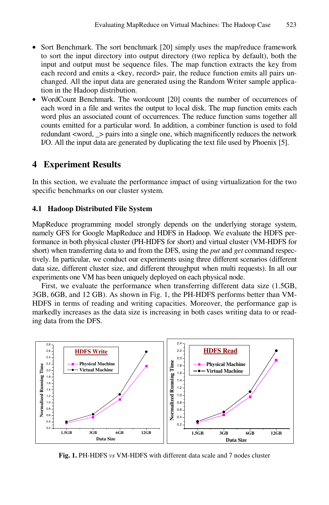- Sort Benchmark. The sort benchmark [20] simply uses the map/reduce framework to sort the input directory into output directory (two replica by default), both the input and output must be sequence files. The map function extracts the key from each record and emits a <key, record> pair, the reduce function emits all pairs unchanged. All the input data are generated using the Random Writer sample application in the Hadoop distribution.
- WordCount Benchmark. The wordcount [20] counts the number of occurrences of each word in a file and writes the output to local disk. The map function emits each word plus an associated count of occurrences. The reduce function sums together all counts emitted for a particular word. In addition, a combiner function is used to fold redundant <word,  $\ge$  pairs into a single one, which magnificently reduces the network I/O. All the input data are generated by duplicating the text file used by Phoenix [5].

#### **4 Experiment Results**

In this section, we evaluate the performance impact of using virtualization for the two specific benchmarks on our cluster system.

#### **4.1 Hadoop Distributed File System**

MapReduce programming model strongly depends on the underlying storage system, namely GFS for Google MapReduce and HDFS in Hadoop. We evaluate the HDFS performance in both physical cluster (PH-HDFS for short) and virtual cluster (VM-HDFS for short) when transferring data to and from the DFS, using the *put* and *get* command respectively. In particular, we conduct our experiments using three different scenarios (different data size, different cluster size, and different throughput when multi requests). In all our experiments one VM has been uniquely deployed on each physical node.

First, we evaluate the performance when transferring different data size (1.5GB, 3GB, 6GB, and 12 GB). As shown in Fig. 1, the PH-HDFS performs better than VM-HDFS in terms of reading and writing capacities. Moreover, the performance gap is markedly increases as the data size is increasing in both cases writing data to or reading data from the DFS.



**Fig. 1.** PH-HDFS *vs* VM-HDFS with different data scale and 7 nodes cluster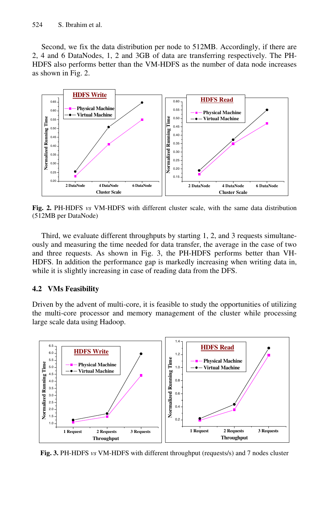Second, we fix the data distribution per node to 512MB. Accordingly, if there are 2, 4 and 6 DataNodes, 1, 2 and 3GB of data are transferring respectively. The PH-HDFS also performs better than the VM-HDFS as the number of data node increases as shown in Fig. 2.



**Fig. 2.** PH-HDFS *vs* VM-HDFS with different cluster scale, with the same data distribution (512MB per DataNode)

Third, we evaluate different throughputs by starting 1, 2, and 3 requests simultaneously and measuring the time needed for data transfer, the average in the case of two and three requests. As shown in Fig. 3, the PH-HDFS performs better than VH-HDFS. In addition the performance gap is markedly increasing when writing data in, while it is slightly increasing in case of reading data from the DFS.

#### **4.2 VMs Feasibility**

Driven by the advent of multi-core, it is feasible to study the opportunities of utilizing the multi-core processor and memory management of the cluster while processing large scale data using Hadoop.



**Fig. 3.** PH-HDFS *vs* VM-HDFS with different throughput (requests/s) and 7 nodes cluster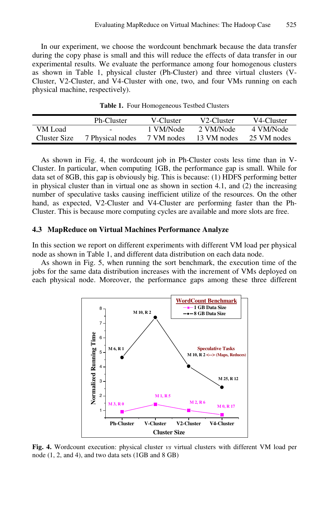In our experiment, we choose the wordcount benchmark because the data transfer during the copy phase is small and this will reduce the effects of data transfer in our experimental results. We evaluate the performance among four homogenous clusters as shown in Table 1, physical cluster (Ph-Cluster) and three virtual clusters (V-Cluster, V2-Cluster, and V4-Cluster with one, two, and four VMs running on each physical machine, respectively).

|              | Ph-Cluster       | V-Cluster  | V <sub>2</sub> -Cluster | V4-Cluster  |
|--------------|------------------|------------|-------------------------|-------------|
| VM Load      | $\sim$           | 1 VM/Node  | 2. VM/Node              | 4 VM/Node   |
| Cluster Size | 7 Physical nodes | 7 VM nodes | 13 VM nodes             | 25 VM nodes |

**Table 1.** Four Homogeneous Testbed Clusters

As shown in Fig. 4, the wordcount job in Ph-Cluster costs less time than in V-Cluster. In particular, when computing 1GB, the performance gap is small. While for data set of 8GB, this gap is obviously big. This is because: (1) HDFS performing better in physical cluster than in virtual one as shown in section 4.1, and (2) the increasing number of speculative tasks causing inefficient utilize of the resources. On the other hand, as expected, V2-Cluster and V4-Cluster are performing faster than the Ph-Cluster. This is because more computing cycles are available and more slots are free.

#### **4.3 MapReduce on Virtual Machines Performance Analyze**

In this section we report on different experiments with different VM load per physical node as shown in Table 1, and different data distribution on each data node.

As shown in Fig. 5, when running the sort benchmark, the execution time of the jobs for the same data distribution increases with the increment of VMs deployed on each physical node. Moreover, the performance gaps among these three different



**Fig. 4.** Wordcount execution: physical cluster *vs* virtual clusters with different VM load per node (1, 2, and 4), and two data sets (1GB and 8 GB)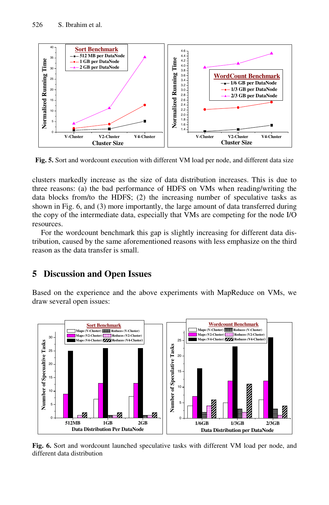

**Fig. 5.** Sort and wordcount execution with different VM load per node, and different data size

clusters markedly increase as the size of data distribution increases. This is due to three reasons: (a) the bad performance of HDFS on VMs when reading/writing the data blocks from/to the HDFS; (2) the increasing number of speculative tasks as shown in Fig. 6, and (3) more importantly, the large amount of data transferred during the copy of the intermediate data, especially that VMs are competing for the node I/O resources.

For the wordcount benchmark this gap is slightly increasing for different data distribution, caused by the same aforementioned reasons with less emphasize on the third reason as the data transfer is small.

#### **5 Discussion and Open Issues**

Based on the experience and the above experiments with MapReduce on VMs, we draw several open issues:



**Fig. 6.** Sort and wordcount launched speculative tasks with different VM load per node, and different data distribution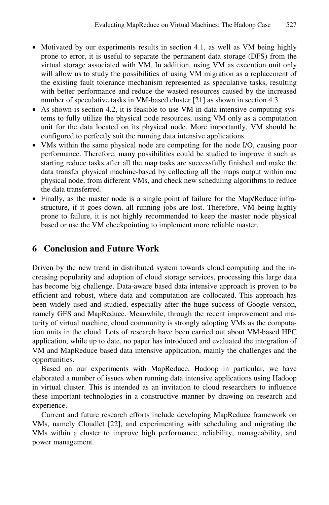- Motivated by our experiments results in section 4.1, as well as VM being highly prone to error, it is useful to separate the permanent data storage (DFS) from the virtual storage associated with VM. In addition, using VM as execution unit only will allow us to study the possibilities of using VM migration as a replacement of the existing fault tolerance mechanism represented as speculative tasks, resulting with better performance and reduce the wasted resources caused by the increased number of speculative tasks in VM-based cluster [21] as shown in section 4.3.
- As shown is section 4.2, it is feasible to use VM in data intensive computing systems to fully utilize the physical node resources, using VM only as a computation unit for the data located on its physical node. More importantly, VM should be configured to perfectly suit the running data intensive applications.
- VMs within the same physical node are competing for the node I/O, causing poor performance. Therefore, many possibilities could be studied to improve it such as starting reduce tasks after all the map tasks are successfully finished and make the data transfer physical machine-based by collecting all the maps output within one physical node, from different VMs, and check new scheduling algorithms to reduce the data transferred.
- Finally, as the master node is a single point of failure for the Map/Reduce infrastructure, if it goes down, all running jobs are lost. Therefore, VM being highly prone to failure, it is not highly recommended to keep the master node physical based or use the VM checkpointing to implement more reliable master.

### **6 Conclusion and Future Work**

Driven by the new trend in distributed system towards cloud computing and the increasing popularity and adoption of cloud storage services, processing this large data has become big challenge. Data-aware based data intensive approach is proven to be efficient and robust, where data and computation are collocated. This approach has been widely used and studied, especially after the huge success of Google version, namely GFS and MapReduce. Meanwhile, through the recent improvement and maturity of virtual machine, cloud community is strongly adopting VMs as the computation units in the cloud. Lots of research have been carried out about VM-based HPC application, while up to date, no paper has introduced and evaluated the integration of VM and MapReduce based data intensive application, mainly the challenges and the opportunities.

Based on our experiments with MapReduce, Hadoop in particular, we have elaborated a number of issues when running data intensive applications using Hadoop in virtual cluster. This is intended as an invitation to cloud researchers to influence these important technologies in a constructive manner by drawing on research and experience.

Current and future research efforts include developing MapReduce framework on VMs, namely Cloudlet [22], and experimenting with scheduling and migrating the VMs within a cluster to improve high performance, reliability, manageability, and power management.